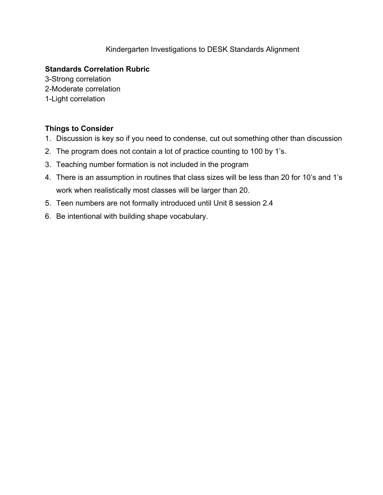#### Kindergarten Investigations to DESK Standards Alignment

#### **Standards Correlation Rubric**

3-Strong correlation 2-Moderate correlation 1-Light correlation

#### **Things to Consider**

- 1. Discussion is key so if you need to condense, cut out something other than discussion
- 2. The program does not contain a lot of practice counting to 100 by 1's.
- 3. Teaching number formation is not included in the program
- 4. There is an assumption in routines that class sizes will be less than 20 for 10's and 1's work when realistically most classes will be larger than 20.
- 5. Teen numbers are not formally introduced until Unit 8 session 2.4
- 6. Be intentional with building shape vocabulary.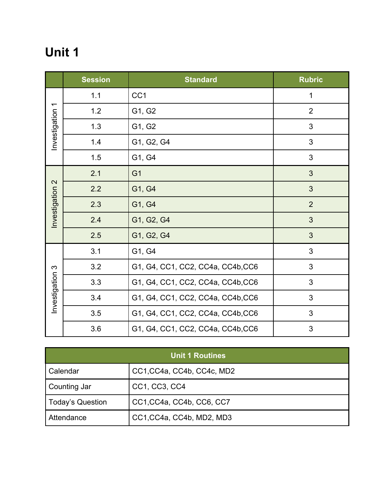|                 | <b>Session</b> | <b>Standard</b>                   | <b>Rubric</b>  |
|-----------------|----------------|-----------------------------------|----------------|
|                 | 1.1            | CC <sub>1</sub>                   | 1              |
|                 | 1.2            | G1, G2                            | $\overline{2}$ |
| Investigation 1 | 1.3            | G1, G2                            | 3              |
|                 | 1.4            | G1, G2, G4                        | 3              |
|                 | 1.5            | G1, G4                            | 3              |
|                 | 2.1            | G <sub>1</sub>                    | 3              |
|                 | 2.2            | G1, G4                            | 3              |
| Investigation 2 | 2.3            | G1, G4                            | $\overline{2}$ |
|                 | 2.4            | G1, G2, G4                        | 3              |
|                 | 2.5            | G1, G2, G4                        | 3              |
|                 | 3.1            | G1, G4                            | 3              |
|                 | 3.2            | G1, G4, CC1, CC2, CC4a, CC4b, CC6 | 3              |
| Investigation 3 | 3.3            | G1, G4, CC1, CC2, CC4a, CC4b, CC6 | 3              |
|                 | 3.4            | G1, G4, CC1, CC2, CC4a, CC4b, CC6 | 3              |
|                 | 3.5            | G1, G4, CC1, CC2, CC4a, CC4b, CC6 | 3              |
|                 | 3.6            | G1, G4, CC1, CC2, CC4a, CC4b, CC6 | 3              |

| <b>Unit 1 Routines</b> |                            |  |
|------------------------|----------------------------|--|
| Calendar               | CC1, CC4a, CC4b, CC4c, MD2 |  |
| Counting Jar           | CC1, CC3, CC4              |  |
| Today's Question       | CC1, CC4a, CC4b, CC6, CC7  |  |
| Attendance             | CC1, CC4a, CC4b, MD2, MD3  |  |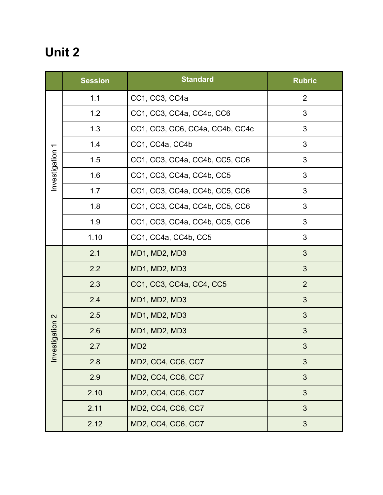|                 | <b>Session</b> | <b>Standard</b>                 | <b>Rubric</b>  |
|-----------------|----------------|---------------------------------|----------------|
|                 | 1.1            | CC1, CC3, CC4a                  | $\overline{2}$ |
|                 | 1.2            | CC1, CC3, CC4a, CC4c, CC6       | 3              |
|                 | 1.3            | CC1, CC3, CC6, CC4a, CC4b, CC4c | 3              |
|                 | 1.4            | CC1, CC4a, CC4b                 | 3              |
| Investigation 1 | 1.5            | CC1, CC3, CC4a, CC4b, CC5, CC6  | 3              |
|                 | 1.6            | CC1, CC3, CC4a, CC4b, CC5       | 3              |
|                 | 1.7            | CC1, CC3, CC4a, CC4b, CC5, CC6  | 3              |
|                 | 1.8            | CC1, CC3, CC4a, CC4b, CC5, CC6  | 3              |
|                 | 1.9            | CC1, CC3, CC4a, CC4b, CC5, CC6  | 3              |
|                 | 1.10           | CC1, CC4a, CC4b, CC5            | 3              |
|                 | 2.1            | MD1, MD2, MD3                   | 3              |
|                 | 2.2            | MD1, MD2, MD3                   | 3              |
|                 | 2.3            | CC1, CC3, CC4a, CC4, CC5        | $\overline{2}$ |
|                 | 2.4            | MD1, MD2, MD3                   | 3              |
|                 | 2.5            | MD1, MD2, MD3                   | 3              |
| Investigation 2 | 2.6            | MD1, MD2, MD3                   | 3              |
|                 | 2.7            | MD <sub>2</sub>                 | 3              |
|                 | 2.8            | MD2, CC4, CC6, CC7              | 3              |
|                 | 2.9            | MD2, CC4, CC6, CC7              | 3              |
|                 | 2.10           | MD2, CC4, CC6, CC7              | 3              |
|                 | 2.11           | MD2, CC4, CC6, CC7              | 3              |
|                 | 2.12           | MD2, CC4, CC6, CC7              | 3              |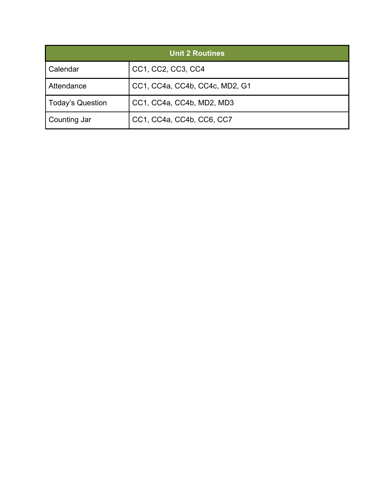| <b>Unit 2 Routines</b> |                                |  |
|------------------------|--------------------------------|--|
| Calendar               | CC1, CC2, CC3, CC4             |  |
| Attendance             | CC1, CC4a, CC4b, CC4c, MD2, G1 |  |
| Today's Question       | CC1, CC4a, CC4b, MD2, MD3      |  |
| Counting Jar           | CC1, CC4a, CC4b, CC6, CC7      |  |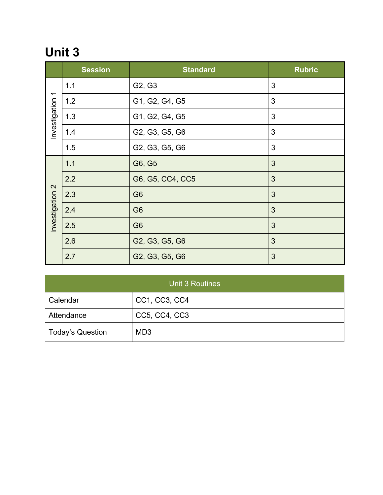|                          | <b>Session</b> | <b>Standard</b>                 | <b>Rubric</b> |
|--------------------------|----------------|---------------------------------|---------------|
|                          | 1.1            | G <sub>2</sub> , G <sub>3</sub> | 3             |
| $\overline{\phantom{0}}$ | 1.2            | G1, G2, G4, G5                  | 3             |
| Investigation            | 1.3            | G1, G2, G4, G5                  | 3             |
|                          | 1.4            | G2, G3, G5, G6                  | 3             |
|                          | 1.5            | G2, G3, G5, G6                  | 3             |
|                          | 1.1            | G6, G5                          | 3             |
|                          | 2.2            | G6, G5, CC4, CC5                | 3             |
| $\mathbf{\Omega}$        | 2.3            | G <sub>6</sub>                  | 3             |
| Investigation            | 2.4            | G <sub>6</sub>                  | 3             |
|                          | 2.5            | G <sub>6</sub>                  | 3             |
|                          | 2.6            | G2, G3, G5, G6                  | 3             |
|                          | 2.7            | G2, G3, G5, G6                  | 3             |

| <b>Unit 3 Routines</b>  |                 |  |
|-------------------------|-----------------|--|
| Calendar                | CC1, CC3, CC4   |  |
| Attendance              | CC5, CC4, CC3   |  |
| <b>Today's Question</b> | MD <sub>3</sub> |  |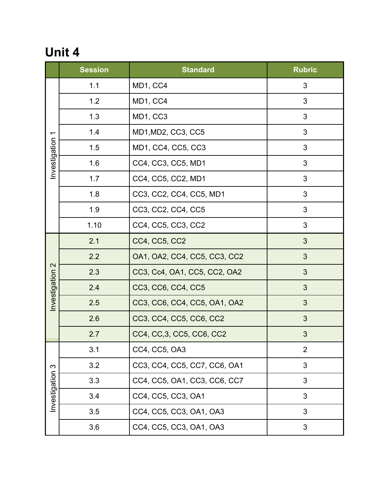|                          | <b>Session</b> | <b>Standard</b>              | <b>Rubric</b>  |
|--------------------------|----------------|------------------------------|----------------|
|                          | 1.1            | MD1, CC4                     | 3              |
|                          | 1.2            | MD1, CC4                     | 3              |
|                          | 1.3            | MD1, CC3                     | 3              |
| $\overline{\phantom{0}}$ | 1.4            | MD1, MD2, CC3, CC5           | 3              |
| Investigation            | 1.5            | MD1, CC4, CC5, CC3           | 3              |
|                          | 1.6            | CC4, CC3, CC5, MD1           | 3              |
|                          | 1.7            | CC4, CC5, CC2, MD1           | 3              |
|                          | 1.8            | CC3, CC2, CC4, CC5, MD1      | 3              |
|                          | 1.9            | CC3, CC2, CC4, CC5           | 3              |
|                          | 1.10           | CC4, CC5, CC3, CC2           | 3              |
|                          | 2.1            | CC4, CC5, CC2                | 3              |
|                          | 2.2            | OA1, OA2, CC4, CC5, CC3, CC2 | 3              |
| $\mathbf{\Omega}$        | 2.3            | CC3, Cc4, OA1, CC5, CC2, OA2 | 3              |
| Investigation            | 2.4            | CC3, CC6, CC4, CC5           | 3              |
|                          | 2.5            | CC3, CC6, CC4, CC5, OA1, OA2 | 3              |
|                          | 2.6            | CC3, CC4, CC5, CC6, CC2      | 3              |
|                          | 2.7            | CC4, CC, 3, CC5, CC6, CC2    | 3              |
|                          | 3.1            | CC4, CC5, OA3                | $\overline{2}$ |
| က<br>Investigation       | 3.2            | CC3, CC4, CC5, CC7, CC6, OA1 | 3              |
|                          | 3.3            | CC4, CC5, OA1, CC3, CC6, CC7 | 3              |
|                          | 3.4            | CC4, CC5, CC3, OA1           | 3              |
|                          | 3.5            | CC4, CC5, CC3, OA1, OA3      | 3              |
|                          | 3.6            | CC4, CC5, CC3, OA1, OA3      | 3              |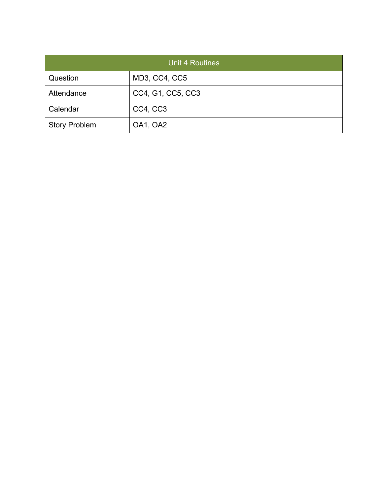| <b>Unit 4 Routines</b> |                   |  |
|------------------------|-------------------|--|
| Question               | MD3, CC4, CC5     |  |
| Attendance             | CC4, G1, CC5, CC3 |  |
| Calendar               | CC4, CC3          |  |
| <b>Story Problem</b>   | OA1, OA2          |  |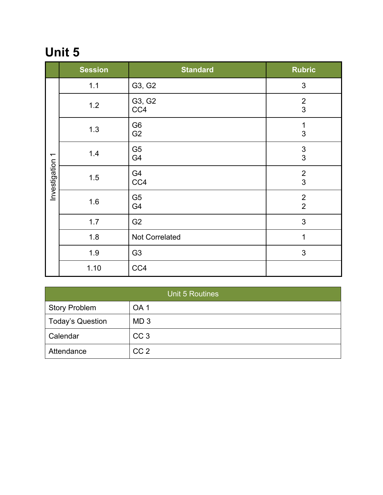|                 | <b>Session</b> | <b>Standard</b>                  | <b>Rubric</b>                               |
|-----------------|----------------|----------------------------------|---------------------------------------------|
|                 | 1.1            | G3, G2                           | 3                                           |
|                 | 1.2            | G3, G2<br>CC4                    | $\overline{2}$<br>3                         |
|                 | 1.3            | G <sub>6</sub><br>G <sub>2</sub> | 1<br>3                                      |
| Investigation 1 | 1.4            | G <sub>5</sub><br>G4             | $\ensuremath{\mathsf{3}}$<br>$\mathfrak{S}$ |
|                 | 1.5            | G4<br>CC4                        | $\overline{2}$<br>3                         |
|                 | 1.6            | G <sub>5</sub><br>G4             | $\overline{2}$<br>$\overline{2}$            |
|                 | 1.7            | G <sub>2</sub>                   | 3                                           |
|                 | 1.8            | Not Correlated                   | 1                                           |
|                 | 1.9            | G <sub>3</sub>                   | 3                                           |
|                 | 1.10           | CC4                              |                                             |

| <b>Unit 5 Routines</b>  |                 |  |
|-------------------------|-----------------|--|
| <b>Story Problem</b>    | OA <sub>1</sub> |  |
| <b>Today's Question</b> | MD <sub>3</sub> |  |
| Calendar                | CC <sub>3</sub> |  |
| Attendance              | CC <sub>2</sub> |  |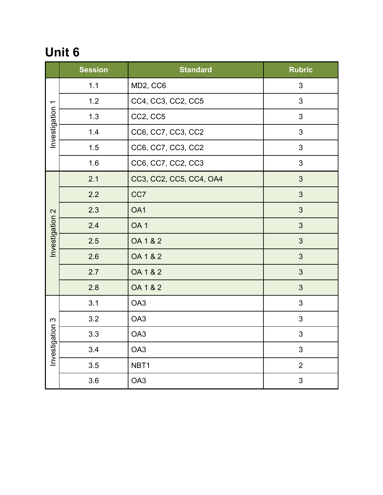|                          | <b>Session</b> | <b>Standard</b>         | <b>Rubric</b>  |
|--------------------------|----------------|-------------------------|----------------|
| $\overline{\phantom{0}}$ | 1.1            | MD2, CC6                | 3              |
|                          | 1.2            | CC4, CC3, CC2, CC5      | $\mathbf{3}$   |
| Investigation            | 1.3            | CC2, CC5                | 3              |
|                          | 1.4            | CC6, CC7, CC3, CC2      | 3              |
|                          | 1.5            | CC6, CC7, CC3, CC2      | 3              |
|                          | 1.6            | CC6, CC7, CC2, CC3      | 3              |
|                          | 2.1            | CC3, CC2, CC5, CC4, OA4 | 3              |
|                          | 2.2            | CC7                     | 3              |
| 2                        | 2.3            | OA1                     | $\mathfrak{S}$ |
| Investigation            | 2.4            | OA <sub>1</sub>         | 3              |
|                          | 2.5            | OA 1 & 2                | $\mathfrak{S}$ |
|                          | 2.6            | OA 1 & 2                | 3              |
|                          | 2.7            | OA 1 & 2                | $\mathfrak{S}$ |
|                          | 2.8            | OA 1 & 2                | 3              |
|                          | 3.1            | OA <sub>3</sub>         | 3              |
| $\infty$                 | 3.2            | OA3                     | 3              |
| ation<br>Investiga       | 3.3            | OA3                     | $\mathfrak{S}$ |
|                          | 3.4            | OA3                     | 3              |
|                          | 3.5            | NBT1                    | $\overline{2}$ |
|                          | 3.6            | OA3                     | 3              |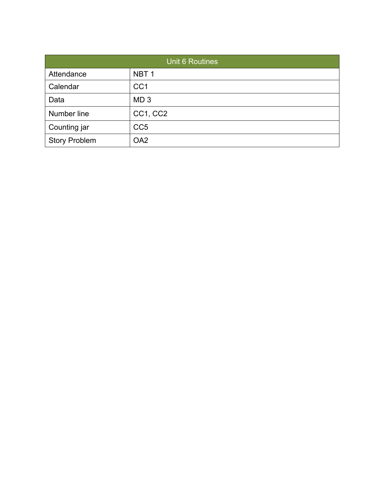| <b>Unit 6 Routines</b> |                  |  |
|------------------------|------------------|--|
| Attendance             | NBT <sub>1</sub> |  |
| Calendar               | CC <sub>1</sub>  |  |
| Data                   | MD <sub>3</sub>  |  |
| Number line            | CC1, CC2         |  |
| Counting jar           | CC <sub>5</sub>  |  |
| <b>Story Problem</b>   | OA <sub>2</sub>  |  |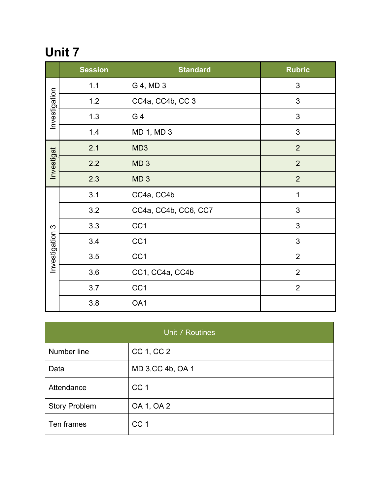|                           | <b>Session</b> | <b>Standard</b>      | <b>Rubric</b>  |
|---------------------------|----------------|----------------------|----------------|
| Investigation             | 1.1            | G 4, MD 3            | 3              |
|                           | 1.2            | CC4a, CC4b, CC3      | 3              |
|                           | 1.3            | G 4                  | 3              |
|                           | 1.4            | MD 1, MD 3           | 3              |
| Investigat                | 2.1            | MD <sub>3</sub>      | $\overline{2}$ |
|                           | 2.2            | MD <sub>3</sub>      | $\overline{2}$ |
|                           | 2.3            | MD <sub>3</sub>      | $\overline{2}$ |
| $\infty$<br>Investigation | 3.1            | CC4a, CC4b           | $\mathbf 1$    |
|                           | 3.2            | CC4a, CC4b, CC6, CC7 | 3              |
|                           | 3.3            | CC <sub>1</sub>      | 3              |
|                           | 3.4            | CC1                  | 3              |
|                           | 3.5            | CC <sub>1</sub>      | $\overline{2}$ |
|                           | 3.6            | CC1, CC4a, CC4b      | $\overline{2}$ |
|                           | 3.7            | CC1                  | $\overline{2}$ |
|                           | 3.8            | OA1                  |                |

| <b>Unit 7 Routines</b> |                   |  |  |  |
|------------------------|-------------------|--|--|--|
| Number line            | CC 1, CC 2        |  |  |  |
| Data                   | MD 3, CC 4b, OA 1 |  |  |  |
| Attendance             | CC <sub>1</sub>   |  |  |  |
| <b>Story Problem</b>   | OA 1, OA 2        |  |  |  |
| Ten frames             | CC <sub>1</sub>   |  |  |  |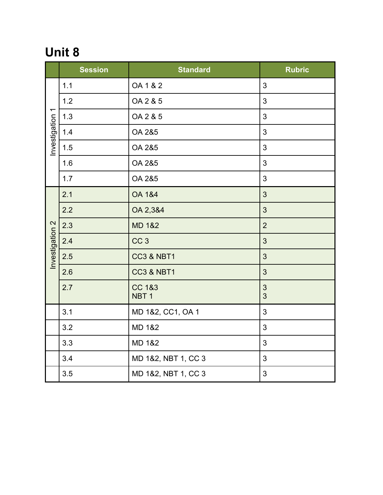|                 | <b>Session</b> | <b>Standard</b>                       | <b>Rubric</b>  |
|-----------------|----------------|---------------------------------------|----------------|
|                 | $1.1$          | OA 1 & 2                              | 3              |
|                 | 1.2            | OA 2 & 5                              | 3              |
|                 | 1.3            | OA 2 & 5                              | 3              |
| Investigation 1 | 1.4            | OA 2&5                                | 3              |
|                 | 1.5            | OA 2&5                                | 3              |
|                 | 1.6            | OA 2&5                                | 3              |
|                 | 1.7            | OA 2&5                                | 3              |
|                 | 2.1            | <b>OA 1&amp;4</b>                     | 3              |
|                 | 2.2            | OA 2,3&4                              | 3              |
|                 | 2.3            | <b>MD 1&amp;2</b>                     | $\overline{2}$ |
|                 | 2.4            | CC <sub>3</sub>                       | 3              |
| Investigation 2 | 2.5            | <b>CC3 &amp; NBT1</b>                 | 3              |
|                 | 2.6            | <b>CC3 &amp; NBT1</b>                 | 3              |
|                 | 2.7            | <b>CC 1&amp;3</b><br>NBT <sub>1</sub> | 3<br>3         |
|                 | 3.1            | MD 1&2, CC1, OA 1                     | 3              |
|                 | 3.2            | <b>MD 1&amp;2</b>                     | 3              |
|                 | 3.3            | <b>MD 1&amp;2</b>                     | 3              |
|                 | 3.4            | MD 1&2, NBT 1, CC 3                   | 3              |
|                 | 3.5            | MD 1&2, NBT 1, CC 3                   | 3              |